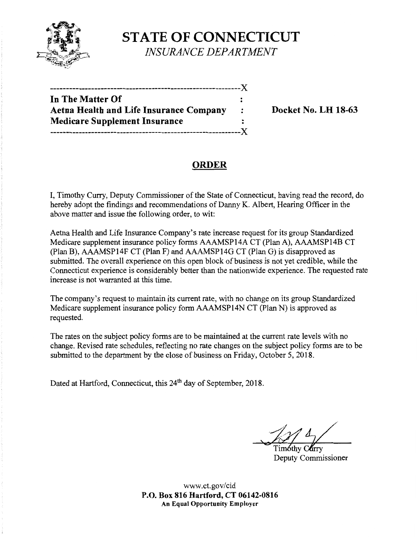

## **STATE OF CONNECTICUT**  *INSURANCE DEPARTMENT*

| In The Matter Of                        |         |
|-----------------------------------------|---------|
| Aetna Health and Life Insurance Company | $\cdot$ |
| <b>Medicare Supplement Insurance</b>    |         |
|                                         |         |

**Docket No. LH 18-63** 

## **ORDER**

I, Timothy Curry, Deputy Commissioner of the State of Connecticut, having read the record, do hereby adopt the findings and recommendations of Danny K. Albert, Hearing Officer in the above matter and issue the following order, to wit:

Aetna Health and Life Insurance Company's rate increase request for its group Standardized Medicare supplement insurance policy forms AAAMSP14A CT (Plan A), AAAMSP14B CT (Plan B), AAAMSP14F CT (Plan F) and AAAMSP14G CT (Plan G) is disapproved as submitted. The overall experience on this open block of business is not yet credible, while the Connecticut experience is considerably better than the nationwide experience. The requested rate increase is not warranted at this time.

The company's request to maintain its current rate, with no change on its group Standardized Medicare supplement insurance policy form AAAMSP14N CT (Plan N) is approved as requested.

The rates on the subject policy forms are to be maintained at the current rate levels with no change. Revised rate schedules, reflecting no rate changes on the subject policy forms are to be submitted to the department by the close of business on Friday, October 5, 2018.

Dated at Hartford, Connecticut, this 24<sup>th</sup> day of September, 2018.

Deputy Commissioner

www.ct.gov/cid **P.O. Box 816 Hartford, CT 06142-0816 An Equal Opportunity Employer**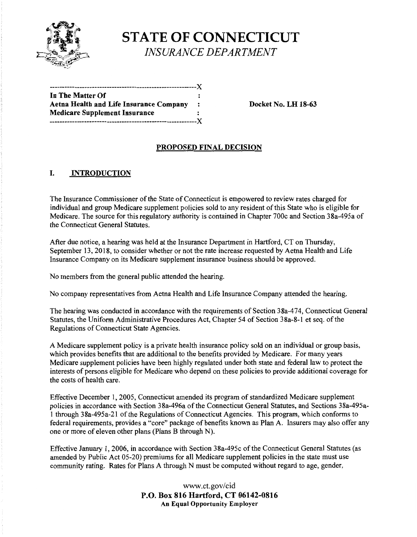

# **STATE OF CONNECTICUT**  *INSURANCE DEPARTMENT*

| In The Matter Of                        |           |
|-----------------------------------------|-----------|
| Aetna Health and Life Insurance Company | $\cdot$ : |
| Medicare Supplement Insurance           |           |
| ----------------------------------X     |           |
|                                         |           |

**Docket No. LH 18-63** 

#### **PROPOSED FINAL DECISION**

#### I. **INTRODUCTION**

The Insurance Commissioner of the State of Connecticut is empowered to review rates charged for individual and group Medicare supplement policies sold to any resident of this State who is eligible for Medicare. The source for this regulatory authority is contained in Chapter 700c and Section 38a-495a of the Connecticut General Statutes.

After due notice, a hearing was held at the Insurance Department in Hartford, CT on Thursday, September 13, 2018, to consider whether or not the rate increase requested by Aetna Health and Life Insurance Company on its Medicare supplement insurance business should be approved.

No members from the general public attended the hearing.

No company representatives from Aetna Health and Life Insurance Company attended the hearing.

The hearing was conducted in accordance with the requirements of Section 38a-474, Connecticut General Statutes, the Uniform Administrative Procedures Act, Chapter 54 of Section 38a-8-1 et seq. of the Regulations of Connecticut State Agencies.

A Medicare supplement policy is a private health insurance policy sold on an individual or group basis, which provides benefits that are additional to the benefits provided by Medicare. For many years Medicare supplement policies have been highly regulated under both state and federal law to protect the interests of persons eligible for Medicare who depend on these policies to provide additional coverage for the costs of health care.

Effective December 1, 2005, Connecticut amended its program of standardized Medicare supplement policies in accordance with Section 38a-496a of the Connecticut General Statutes, and Sections 38a-495al through 38a-495a-21 of the Regulations of Connecticut Agencies. This program, which conforms to federal requirements, provides a "core" package of benefits known as Plan A. Insurers may also offer any one or more of eleven other plans (Plans B through N).

Effective January 1, 2006, in accordance with Section 38a-495c of the Connecticut General Statutes (as amended by Public Act 05-20) premiums for all Medicare supplement policies in the state must use community rating. Rates for Plans A through N must be computed without regard to age, gender,

#### www.ct.gov/cid **P.O. Box 816 Hartford, CT 06142-0816 An Equal Opportunity Employer**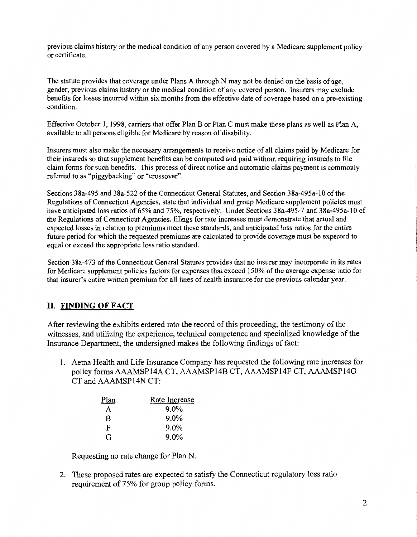previous claims history or the medical condition of any person covered by a Medicare supplement policy or certificate.

The statute provides that coverage under Plans A through N may not be denied on the basis of age, gender, previous claims history or the medical condition of any covered person. Insurers may exclude benefits for losses incurred within six months from the effective date of coverage based on a pre-existing condition.

Effective October I, 1998, carriers that offer Plan B or Plan C must make these plans as well as Plan A, available to all persons eligible for Medicare by reason of disability.

Insurers must also make the necessary arrangements to receive notice of all claims paid by Medicare for their insureds so that supplement benefits can be computed and paid without requiring insureds to file claim forms for such benefits. This process of direct notice and automatic claims payment is commonly referred to as "piggybacking" or "crossover".

Sections 38a-495 and 38a-522 ofthe Connecticut General Statutes, and Section 38a-495a-10 of the Regulations of Connecticut Agencies, state that individual and group Medicare supplement policies must have anticipated loss ratios of 65% and 75%, respectively. Under Sections 38a-495-7 and 38a-495a-10 of the Regulations of Connecticut Agencies, filings for rate increases must demonstrate that actual and expected losses in relation to premiums meet these standards, and anticipated loss ratios for the entire future period for which the requested premiums are calculated to provide coverage must be expected to equal or exceed the appropriate loss ratio standard.

Section 38a-473 of the Connecticut General Statutes provides that no insurer may incorporate in its rates for Medicare supplement policies factors for expenses that exceed 150% of the average expense ratio for that insurer's entire written premium for all lines of health insurance for the previous calendar year.

### **II. FINDING OF FACT**

After reviewing the exhibits entered into the record of this proceeding, the testimony of the witnesses, and utilizing the experience, technical competence and specialized knowledge of the Insurance Department, the undersigned makes the following findings of fact:

1. Aetna Health and Life Insurance Company has requested the following rate increases for policy forms AAAMSP14A CT, AAAMSP14B CT, AAAMSP14F CT, AAAMSP14G CT and AAAMSP14N CT:

| Plan | Rate Increase |
|------|---------------|
| A    | $9.0\%$       |
| B    | $9.0\%$       |
| F    | $9.0\%$       |
| G    | $9.0\%$       |

Requesting no rate change for Plan N.

2. These proposed rates are expected to satisfy the Connecticut regulatory loss ratio requirement of 75% for group policy forms.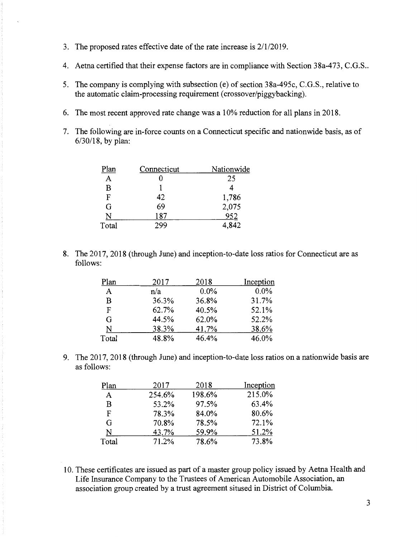- 3. The proposed rates effective date of the rate increase is 2/1/2019.
- 4. Aetna certified that their expense factors are in compliance with Section 38a-473, C.G.S ..
- 5. The company is complying with subsection (e) of section 38a-495c, C.G.S., relative to the automatic claim-processing requirement ( crossover/piggybacking).
- 6. The most recent approved rate change was a 10% reduction for all plans in 2018.
- 7. The following are in-force counts on a Connecticut specific and nationwide basis, as of 6/30/18, by plan:

| Plan  | Connecticut | Nationwide |
|-------|-------------|------------|
| A     |             | 25         |
| B     |             |            |
| F     | 42          | 1,786      |
| G     | 69          | 2,075      |
| N     | 187         | 952        |
| Total | 200         | 4,842      |

8. The 2017, 2018 (through June) and inception-to-date loss ratios for Connecticut are as follows:

| Plan  | 2017  | 2018  | Inception |
|-------|-------|-------|-----------|
| A     | n/a   | 0.0%  | $0.0\%$   |
| В     | 36.3% | 36.8% | 31.7%     |
| F     | 62.7% | 40.5% | 52.1%     |
| G     | 44.5% | 62.0% | 52.2%     |
| N     | 38.3% | 41.7% | 38.6%     |
| Total | 48.8% | 46.4% | 46.0%     |

9. The 2017, 2018 (through June) and inception-to-date loss ratios on a nationwide basis are as follows:

| Plan  | 2017   | 2018   | Inception |
|-------|--------|--------|-----------|
| A     | 254.6% | 198.6% | 215.0%    |
| B     | 53.2%  | 97.5%  | 63.4%     |
| F     | 78.3%  | 84.0%  | 80.6%     |
| G     | 70.8%  | 78.5%  | 72.1%     |
| N     | 43.7%  | 59.9%  | 51.2%     |
| Total | 71.2%  | 78.6%  | 73.8%     |

10. These certificates are issued as part of a master group policy issued by Aetna Health and Life Insurance Company to the Trustees of American Automobile Association, an association group created by a trust agreement sitused in District of Columbia.